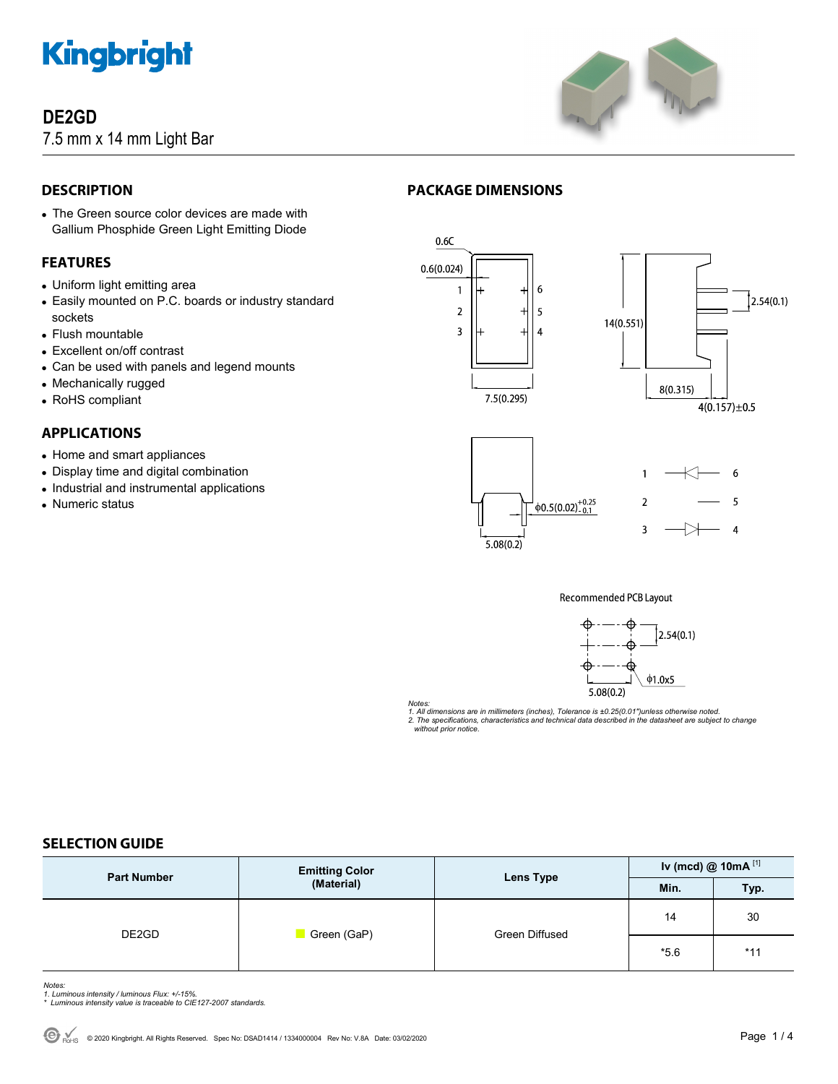

# **DE2GD**

7.5 mm x 14 mm Light Bar



# **DESCRIPTION**

• The Green source color devices are made with Gallium Phosphide Green Light Emitting Diode

# **FEATURES**

- Uniform light emitting area
- Easily mounted on P.C. boards or industry standard sockets
- Flush mountable
- Excellent on/off contrast
- Can be used with panels and legend mounts
- Mechanically rugged
- RoHS compliant

# **APPLICATIONS**

- Home and smart appliances
- Display time and digital combination
- Industrial and instrumental applications
- Numeric status



**PACKAGE DIMENSIONS** 

 $5.08(0.2)$ 





 $2.54(0.1)$ 

 $4(0.157) \pm 0.5$ 

 $6\overline{6}$ 

Recommended PCB Layout



*Notes:* 

*1. All dimensions are in millimeters (inches), Tolerance is ±0.25(0.01")unless otherwise noted.* 

*2. The specifications, characteristics and technical data described in the datasheet are subject to change without prior notice.* 

# **SELECTION GUIDE**

| <b>Part Number</b> | <b>Emitting Color</b> |                | Iv (mcd) @ $10mA$ <sup>[1]</sup> |       |
|--------------------|-----------------------|----------------|----------------------------------|-------|
|                    | (Material)            | Lens Type      | Min.                             | Typ.  |
| DE2GD              | Green (GaP)           | Green Diffused | 14                               | 30    |
|                    |                       |                | $*5.6$                           | $*11$ |

- 
- *Notes: 1. Luminous intensity / luminous Flux: +/-15%. \* Luminous intensity value is traceable to CIE127-2007 standards.*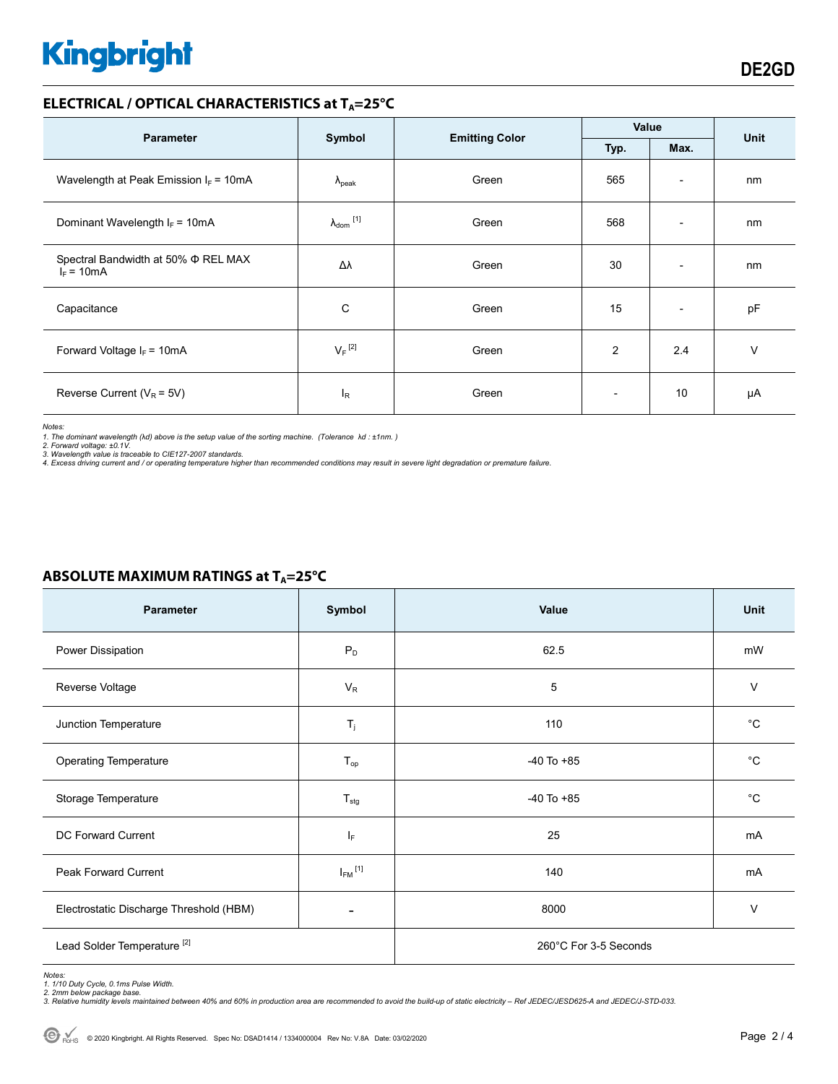# **Kingbright**

## **ELECTRICAL / OPTICAL CHARACTERISTICS at T<sub>A</sub>=25°C**

| <b>Parameter</b>                                         | Symbol                     | <b>Emitting Color</b> | Value                    |                          | <b>Unit</b> |
|----------------------------------------------------------|----------------------------|-----------------------|--------------------------|--------------------------|-------------|
|                                                          |                            |                       | Typ.                     | Max.                     |             |
| Wavelength at Peak Emission $I_F = 10mA$                 | $\Lambda_{\rm peak}$       | Green                 | 565                      | $\overline{\phantom{a}}$ | nm          |
| Dominant Wavelength $I_F = 10mA$                         | $\lambda_{\text{dom}}$ [1] | Green                 | 568                      | $\overline{\phantom{0}}$ | nm          |
| Spectral Bandwidth at 50% $\Phi$ REL MAX<br>$I_F = 10mA$ | Δλ                         | Green                 | 30                       | $\overline{\phantom{a}}$ | nm          |
| Capacitance                                              | C                          | Green                 | 15                       | $\overline{\phantom{a}}$ | pF          |
| Forward Voltage $I_F$ = 10mA                             | $V_F$ <sup>[2]</sup>       | Green                 | $\overline{c}$           | 2.4                      | $\vee$      |
| Reverse Current ( $V_R$ = 5V)                            | $I_R$                      | Green                 | $\overline{\phantom{a}}$ | 10                       | μA          |

*Notes:* 

1. The dominant wavelength (λd) above is the setup value of the sorting machine. (Tolerance λd : ±1nm. )<br>2. Forward voltage: ±0.1V.<br>3. Wavelength value is traceable to CIE127-2007 standards.<br>4. Excess driving current and

| Parameter                                                       | Symbol                  | Value          | Unit         |
|-----------------------------------------------------------------|-------------------------|----------------|--------------|
| Power Dissipation                                               | $\mathsf{P}_\mathsf{D}$ | 62.5           | mW           |
| Reverse Voltage                                                 | $V_R$                   | 5              | $\vee$       |
| Junction Temperature                                            | $T_{j}$                 | 110            | $^{\circ}C$  |
| <b>Operating Temperature</b>                                    | $T_{op}$                | $-40$ To $+85$ | $^{\circ}C$  |
| Storage Temperature                                             | $T_{\text{stg}}$        | $-40$ To $+85$ | $^{\circ}$ C |
| DC Forward Current                                              | ΙF                      | 25             | mA           |
| Peak Forward Current                                            | $I_{FM}$ <sup>[1]</sup> | 140            | mA           |
| Electrostatic Discharge Threshold (HBM)                         |                         | 8000           | $\vee$       |
| Lead Solder Temperature <sup>[2]</sup><br>260°C For 3-5 Seconds |                         |                |              |

# **ABSOLUTE MAXIMUM RATINGS at TA=25°C**

Notes:<br>1. 1/10 Duty Cycle, 0.1ms Pulse Width.<br>2. 2mm below package base.<br>3. Relative humidity levels maintained between 40% and 60% in production area are recommended to avoid the build-up of static electricity – Ref JEDEC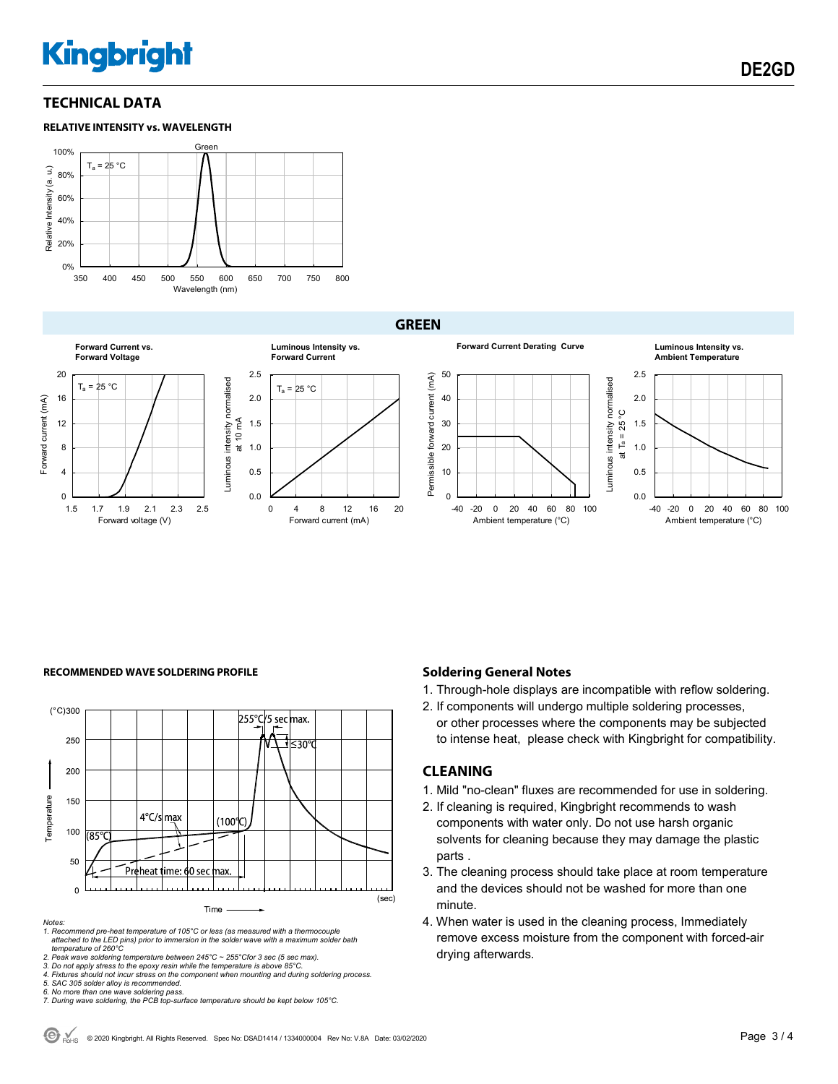# **Kingbright**

**DE2GD** 

# **TECHNICAL DATA**

### **RELATIVE INTENSITY vs. WAVELENGTH**



**GREEN**





#### **RECOMMENDED WAVE SOLDERING PROFILE <b>A CONDUCT A CONDUCT SOLDERING PROFILE Soldering General Notes**



*Notes:* 

*1. Recommend pre-heat temperature of 105°C or less (as measured with a thermocouple attached to the LED pins) prior to immersion in the solder wave with a maximum solder bath temperature of 260°C* 

2. Peak wave soldering temperature between 245°C ~ 255°Cfor 3 sec (5 sec max).<br>3. Do not apply stress to the epoxy resin while the temperature is above 85°C.<br>4. Fixtures should not incur stress on the component when mounti

*5. SAC 305 solder alloy is recommended.* 

- 1. Through-hole displays are incompatible with reflow soldering.
- 2. If components will undergo multiple soldering processes, or other processes where the components may be subjected to intense heat, please check with Kingbright for compatibility.

### **CLEANING**

- 1. Mild "no-clean" fluxes are recommended for use in soldering.
- 2. If cleaning is required, Kingbright recommends to wash components with water only. Do not use harsh organic solvents for cleaning because they may damage the plastic parts .
- 3. The cleaning process should take place at room temperature and the devices should not be washed for more than one minute.
- 4. When water is used in the cleaning process, Immediately remove excess moisture from the component with forced-air drying afterwards.

*<sup>6.</sup> No more than one wave soldering pass. 7. During wave soldering, the PCB top-surface temperature should be kept below 105°C.*